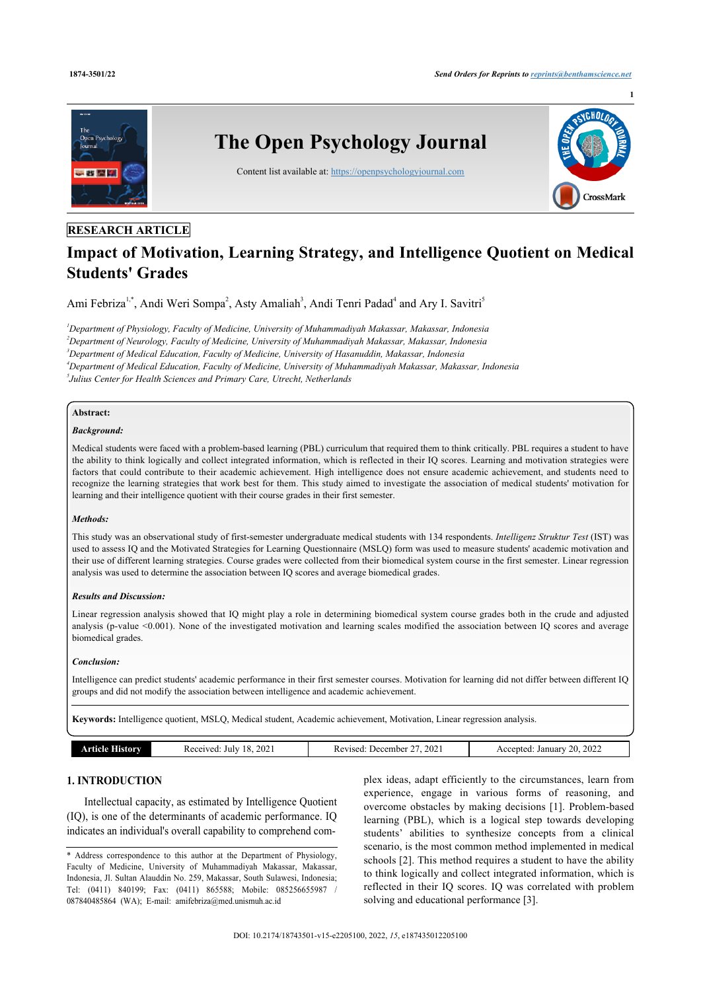**1**



# **RESEARCH ARTICLE**

# **Impact of Motivation, Learning Strategy, and Intelligence Quotient on Medical Students' Grades**

Ami Febriza<sup>[1,](#page-0-0)[\\*](#page-0-1)</sup>, Andi Weri Sompa<sup>[2](#page-0-2)</sup>, Asty Amaliah<sup>[3](#page-0-3)</sup>, Andi Tenri Padad<sup>[4](#page-0-4)</sup> and Ary I. Savitri<sup>[5](#page-0-5)</sup>

<span id="page-0-4"></span><span id="page-0-3"></span><span id="page-0-2"></span><span id="page-0-0"></span>*Department of Physiology, Faculty of Medicine, University of Muhammadiyah Makassar, Makassar, Indonesia Department of Neurology, Faculty of Medicine, University of Muhammadiyah Makassar, Makassar, Indonesia Department of Medical Education, Faculty of Medicine, University of Hasanuddin, Makassar, Indonesia Department of Medical Education, Faculty of Medicine, University of Muhammadiyah Makassar, Makassar, Indonesia Julius Center for Health Sciences and Primary Care, Utrecht, Netherlands*

### <span id="page-0-5"></span>**Abstract:**

### *Background:*

Medical students were faced with a problem-based learning (PBL) curriculum that required them to think critically. PBL requires a student to have the ability to think logically and collect integrated information, which is reflected in their IQ scores. Learning and motivation strategies were factors that could contribute to their academic achievement. High intelligence does not ensure academic achievement, and students need to recognize the learning strategies that work best for them. This study aimed to investigate the association of medical students' motivation for learning and their intelligence quotient with their course grades in their first semester.

### *Methods:*

This study was an observational study of first-semester undergraduate medical students with 134 respondents. *Intelligenz Struktur Test* (IST) was used to assess IQ and the Motivated Strategies for Learning Questionnaire (MSLQ) form was used to measure students' academic motivation and their use of different learning strategies. Course grades were collected from their biomedical system course in the first semester. Linear regression analysis was used to determine the association between IQ scores and average biomedical grades.

### *Results and Discussion:*

Linear regression analysis showed that IQ might play a role in determining biomedical system course grades both in the crude and adjusted analysis (p-value <0.001). None of the investigated motivation and learning scales modified the association between IQ scores and average biomedical grades.

### *Conclusion:*

Intelligence can predict students' academic performance in their first semester courses. Motivation for learning did not differ between different IQ groups and did not modify the association between intelligence and academic achievement.

**Keywords:** Intelligence quotient, MSLQ, Medical student, Academic achievement, Motivation, Linear regression analysis.

| 2022<br>202<br>202<br>$\overline{f}$<br>. .<br><br>Januar<br>Julv<br>eeived<br>. Jecember<br>vised<br>$\cdots$<br>cented<br>Ke.<br>KL<br>AGC.<br>∠∪<br>$- - -$<br>.<br>__<br>.<br>.<br>.<br>$\sim$ $\sim$ |
|-----------------------------------------------------------------------------------------------------------------------------------------------------------------------------------------------------------|
|-----------------------------------------------------------------------------------------------------------------------------------------------------------------------------------------------------------|

# **1. INTRODUCTION**

Intellectual capacity, as estimated by Intelligence Quotient (IQ), is one of the determinants of academic performance. IQ indicates an individual's overall capability to comprehend com-

plex ideas, adapt efficiently to the circumstances, learn from experience, engage in various forms of reasoning, and overcome obstacles by making decisions [[1\]](#page-5-0). Problem-based learning (PBL), which is a logical step towards developing students' abilities to synthesize concepts from a clinical scenario, is the most common method implemented in medical schools [\[2\]](#page-5-1). This method requires a student to have the ability to think logically and collect integrated information, which is reflected in their IQ scores. IQ was correlated with problem solving and educational performance [\[3\]](#page-5-2).

<span id="page-0-1"></span><sup>\*</sup> Address correspondence to this author at the Department of Physiology, Faculty of Medicine, University of Muhammadiyah Makassar, Makassar, Indonesia, Jl. Sultan Alauddin No. 259, Makassar, South Sulawesi, Indonesia; Tel: (0411) 840199; Fax: (0411) 865588; Mobile: 085256655987 / 087840485864 (WA); E-mail: [amifebriza@med.unismuh.ac.id](mailto:amifebriza@med.unismuh.ac.id)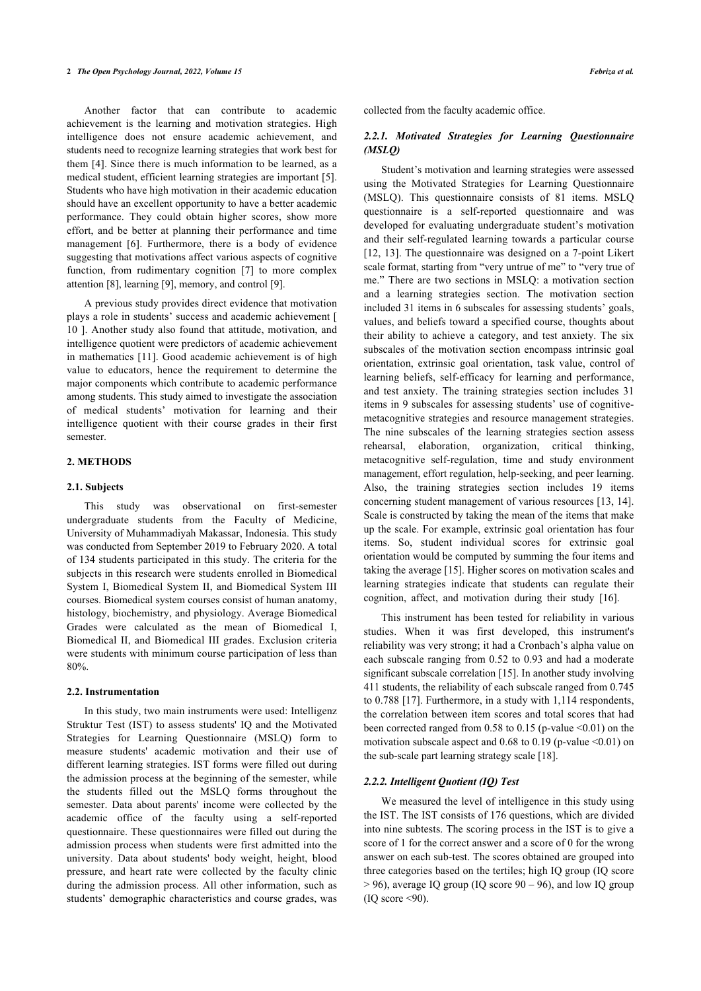#### **2** *The Open Psychology Journal, 2022, Volume 15 Febriza et al.*

Another factor that can contribute to academic achievement is the learning and motivation strategies. High intelligence does not ensure academic achievement, and students need to recognize learning strategies that work best for them [[4\]](#page-5-3). Since there is much information to be learned, as a medical student, efficient learning strategies are important [\[5](#page-5-4)]. Students who have high motivation in their academic education should have an excellent opportunity to have a better academic performance. They could obtain higher scores, show more effort, and be better at planning their performance and time management[[6\]](#page-5-5). Furthermore, there is a body of evidence suggesting that motivations affect various aspects of cognitive function, from rudimentary cognition[[7\]](#page-5-6) to more complex attention [\[8\]](#page-5-7), learning [\[9\]](#page-5-8), memory, and control [[9](#page-5-8)].

A previous study provides direct evidence that motivation plays a role in students' success and academic achievement [ [10](#page-5-9) ]. Another study also found that attitude, motivation, and intelligence quotient were predictors of academic achievement in mathematics [\[11](#page-5-10)]. Good academic achievement is of high value to educators, hence the requirement to determine the major components which contribute to academic performance among students. This study aimed to investigate the association of medical students' motivation for learning and their intelligence quotient with their course grades in their first semester.

### **2. METHODS**

#### **2.1. Subjects**

This study was observational on first-semester undergraduate students from the Faculty of Medicine, University of Muhammadiyah Makassar, Indonesia. This study was conducted from September 2019 to February 2020. A total of 134 students participated in this study. The criteria for the subjects in this research were students enrolled in Biomedical System I, Biomedical System II, and Biomedical System III courses. Biomedical system courses consist of human anatomy, histology, biochemistry, and physiology. Average Biomedical Grades were calculated as the mean of Biomedical I, Biomedical II, and Biomedical III grades. Exclusion criteria were students with minimum course participation of less than 80%.

### **2.2. Instrumentation**

In this study, two main instruments were used: Intelligenz Struktur Test (IST) to assess students' IQ and the Motivated Strategies for Learning Questionnaire (MSLQ) form to measure students' academic motivation and their use of different learning strategies. IST forms were filled out during the admission process at the beginning of the semester, while the students filled out the MSLQ forms throughout the semester. Data about parents' income were collected by the academic office of the faculty using a self-reported questionnaire. These questionnaires were filled out during the admission process when students were first admitted into the university. Data about students' body weight, height, blood pressure, and heart rate were collected by the faculty clinic during the admission process. All other information, such as students' demographic characteristics and course grades, was

collected from the faculty academic office.

## *2.2.1. Motivated Strategies for Learning Questionnaire (MSLQ)*

Student's motivation and learning strategies were assessed using the Motivated Strategies for Learning Questionnaire (MSLQ). This questionnaire consists of 81 items. MSLQ questionnaire is a self-reported questionnaire and was developed for evaluating undergraduate student's motivation and their self-regulated learning towards a particular course [[12](#page-5-11), [13\]](#page-5-12). The questionnaire was designed on a 7-point Likert scale format, starting from "very untrue of me" to "very true of me." There are two sections in MSLQ: a motivation section and a learning strategies section. The motivation section included 31 items in 6 subscales for assessing students' goals, values, and beliefs toward a specified course, thoughts about their ability to achieve a category, and test anxiety. The six subscales of the motivation section encompass intrinsic goal orientation, extrinsic goal orientation, task value, control of learning beliefs, self-efficacy for learning and performance, and test anxiety. The training strategies section includes 31 items in 9 subscales for assessing students' use of cognitivemetacognitive strategies and resource management strategies. The nine subscales of the learning strategies section assess rehearsal, elaboration, organization, critical thinking, metacognitive self-regulation, time and study environment management, effort regulation, help-seeking, and peer learning. Also, the training strategies section includes 19 items concerning student management of various resources [\[13](#page-5-12), [14](#page-5-13)]. Scale is constructed by taking the mean of the items that make up the scale. For example, extrinsic goal orientation has four items. So, student individual scores for extrinsic goal orientation would be computed by summing the four items and taking the average [\[15](#page-5-14)]. Higher scores on motivation scales and learning strategies indicate that students can regulate their cognition, affect, and motivation during their study [\[16](#page-5-15)].

This instrument has been tested for reliability in various studies. When it was first developed, this instrument's reliability was very strong; it had a Cronbach's alpha value on each subscale ranging from 0.52 to 0.93 and had a moderate significant subscale correlation [[15\]](#page-5-14). In another study involving 411 students, the reliability of each subscale ranged from 0.745 to 0.788 [[17\]](#page-5-16). Furthermore, in a study with 1,114 respondents, the correlation between item scores and total scores that had been corrected ranged from  $0.58$  to  $0.15$  (p-value  $\leq 0.01$ ) on the motivation subscale aspect and  $0.68$  to  $0.19$  (p-value  $\leq 0.01$ ) on the sub-scale part learning strategy scale [[18\]](#page-5-17).

### *2.2.2. Intelligent Quotient (IQ) Test*

We measured the level of intelligence in this study using the IST. The IST consists of 176 questions, which are divided into nine subtests. The scoring process in the IST is to give a score of 1 for the correct answer and a score of 0 for the wrong answer on each sub-test. The scores obtained are grouped into three categories based on the tertiles; high IQ group (IQ score  $> 96$ ), average IQ group (IQ score  $90 - 96$ ), and low IQ group  $(IO score < 90)$ .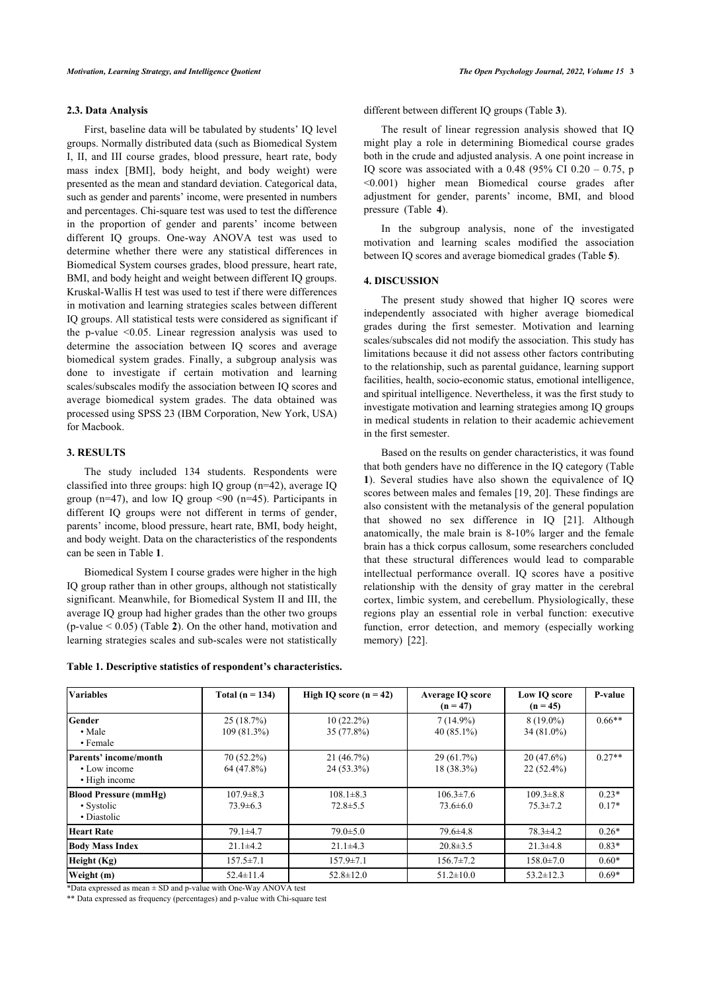### **2.3. Data Analysis**

First, baseline data will be tabulated by students' IQ level groups. Normally distributed data (such as Biomedical System I, II, and III course grades, blood pressure, heart rate, body mass index [BMI], body height, and body weight) were presented as the mean and standard deviation. Categorical data, such as gender and parents' income, were presented in numbers and percentages. Chi-square test was used to test the difference in the proportion of gender and parents' income between different IQ groups. One-way ANOVA test was used to determine whether there were any statistical differences in Biomedical System courses grades, blood pressure, heart rate, BMI, and body height and weight between different IO groups. Kruskal-Wallis H test was used to test if there were differences in motivation and learning strategies scales between different IQ groups. All statistical tests were considered as significant if the p-value <0.05. Linear regression analysis was used to determine the association between IQ scores and average biomedical system grades. Finally, a subgroup analysis was done to investigate if certain motivation and learning scales/subscales modify the association between IQ scores and average biomedical system grades. The data obtained was processed using SPSS 23 (IBM Corporation, New York, USA) for Macbook.

### **3. RESULTS**

The study included 134 students. Respondents were classified into three groups: high IQ group (n=42), average IQ group ( $n=47$ ), and low IO group <90 ( $n=45$ ). Participants in different IQ groups were not different in terms of gender, parents' income, blood pressure, heart rate, BMI, body height, and body weight. Data on the characteristics of the respondents can be seen in Table **[1](#page-2-0)**.

Biomedical System I course grades were higher in the high IQ group rather than in other groups, although not statistically significant. Meanwhile, for Biomedical System II and III, the average IQ group had higher grades than the other two groups (p-value < 0.05) (Table **[2](#page-3-0)**). On the other hand, motivation and learning strategies scales and sub-scales were not statistically

different between different IQ groups (Table **[3](#page-3-1)**).

The result of linear regression analysis showed that IQ might play a role in determining Biomedical course grades both in the crude and adjusted analysis. A one point increase in IQ score was associated with a  $0.48$  (95% CI  $0.20 - 0.75$ , p <0.001) higher mean Biomedical course grades after adjustment for gender, parents' income, BMI, and blood pressure (Table**4**).

In the subgroup analysis, none of the investigated motivation and learning scales modified the association between IQ scores and average biomedical grades (Table **[5](#page-3-3)**).

### **4. DISCUSSION**

The present study showed that higher IQ scores were independently associated with higher average biomedical grades during the first semester. Motivation and learning scales/subscales did not modify the association. This study has limitations because it did not assess other factors contributing to the relationship, such as parental guidance, learning support facilities, health, socio-economic status, emotional intelligence, and spiritual intelligence. Nevertheless, it was the first study to investigate motivation and learning strategies among IQ groups in medical students in relation to their academic achievement in the first semester.

Based on the results on gender characteristics, it was found that both genders have no difference in the IQ category (Table **[1](#page-2-0)**). Several studies have also shown the equivalence of IQ scores between males and females [\[19](#page-5-18), [20](#page-5-19)]. These findings are also consistent with the metanalysis of the general population that showed no sex difference in IQ[[21](#page-5-20)]. Although anatomically, the male brain is 8-10% larger and the female brain has a thick corpus callosum, some researchers concluded that these structural differences would lead to comparable intellectual performance overall. IQ scores have a positive relationship with the density of gray matter in the cerebral cortex, limbic system, and cerebellum. Physiologically, these regions play an essential role in verbal function: executive function, error detection, and memory (especially working memory) [\[22](#page-5-21)].

| <b>Variables</b>                                          | Total $(n = 134)$                                                      | High IO score $(n = 42)$ | <b>Average IQ score</b><br>$(n = 47)$ | Low IO score<br>$(n = 45)$        | P-value            |  |
|-----------------------------------------------------------|------------------------------------------------------------------------|--------------------------|---------------------------------------|-----------------------------------|--------------------|--|
| Gender<br>$\cdot$ Male<br>• Female                        | 25(18.7%)<br>$10(22.2\%)$<br>$109(81.3\%)$<br>$35(77.8\%)$             |                          | $7(14.9\%)$<br>40 $(85.1\%)$          | $8(19.0\%)$<br>$34(81.0\%)$       | $0.66**$           |  |
| Parents' income/month<br>• Low income<br>• High income    | 70 (52.2%)<br>64 (47.8%)                                               |                          | 29(61.7%)<br>$18(38.3\%)$             | $20(47.6\%)$<br>$22(52.4\%)$      | $0.27**$           |  |
| <b>Blood Pressure (mmHg)</b><br>• Systolic<br>• Diastolic | $107.9 \pm 8.3$<br>$108.1 \pm 8.3$<br>$73.9 \pm 6.3$<br>$72.8 \pm 5.5$ |                          | $106.3 \pm 7.6$<br>$73.6 \pm 6.0$     | $109.3 \pm 8.8$<br>$75.3 \pm 7.2$ | $0.23*$<br>$0.17*$ |  |
| Heart Rate<br>$79.1 \pm 4.7$                              |                                                                        | $79.0 \pm 5.0$           | $79.6 \pm 4.8$                        | $78.3 \pm 4.2$                    | $0.26*$            |  |
| <b>Body Mass Index</b>                                    | $21.1\pm4.2$                                                           | $21.1\pm4.3$             | $20.8 \pm 3.5$                        | $21.3\pm4.8$                      | $0.83*$            |  |
| Height (Kg)                                               | $157.5 \pm 7.1$                                                        | $157.9 \pm 7.1$          | $156.7 \pm 7.2$                       | $158.0 \pm 7.0$                   | $0.60*$            |  |
| Weight (m)                                                | $52.4 \pm 11.4$                                                        | $52.8 \pm 12.0$          | $51.2 \pm 10.0$                       | $53.2 \pm 12.3$                   | $0.69*$            |  |

### <span id="page-2-0"></span>**Table 1. Descriptive statistics of respondent's characteristics.**

\*Data expressed as mean ± SD and p-value with One-Way ANOVA test

\*\* Data expressed as frequency (percentages) and p-value with Chi-square test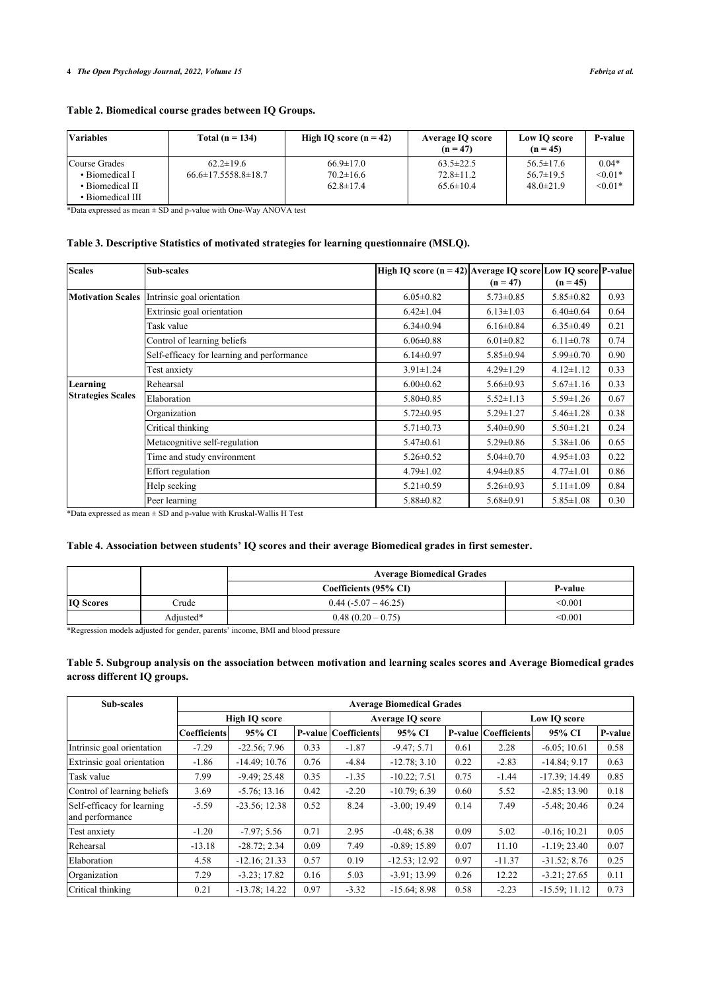# <span id="page-3-0"></span>**Table 2. Biomedical course grades between IQ Groups.**

| <b>Variables</b>                                                       | Total $(n = 134)$                                | High IQ score $(n = 42)$                              | <b>Average IQ score</b><br>$(n = 47)$                 | Low IO score<br>$(n = 45)$                            | P-value                              |
|------------------------------------------------------------------------|--------------------------------------------------|-------------------------------------------------------|-------------------------------------------------------|-------------------------------------------------------|--------------------------------------|
| Course Grades<br>• Biomedical I<br>• Biomedical II<br>• Biomedical III | $62.2 \pm 19.6$<br>$66.6 \pm 17.5558.8 \pm 18.7$ | $66.9 \pm 17.0$<br>$70.2 \pm 16.6$<br>$62.8 \pm 17.4$ | $63.5 \pm 22.5$<br>$72.8 \pm 11.2$<br>$65.6 \pm 10.4$ | $56.5 \pm 17.6$<br>$56.7 \pm 19.5$<br>$48.0 \pm 21.9$ | $0.04*$<br>$\leq 0.01*$<br>$< 0.01*$ |

\*Data expressed as mean ± SD and p-value with One-Way ANOVA test

# <span id="page-3-1"></span>**Table 3. Descriptive Statistics of motivated strategies for learning questionnaire (MSLQ).**

| <b>Scales</b>                        | Sub-scales                                 | High IQ score $(n = 42)$ Average IQ score Low IQ score P-value |                 |                 |      |
|--------------------------------------|--------------------------------------------|----------------------------------------------------------------|-----------------|-----------------|------|
|                                      |                                            |                                                                | $(n = 47)$      | $(n = 45)$      |      |
| <b>Motivation Scales</b>             | Intrinsic goal orientation                 | $6.05 \pm 0.82$                                                | $5.73 \pm 0.85$ | $5.85 \pm 0.82$ | 0.93 |
|                                      | Extrinsic goal orientation                 | $6.42 \pm 1.04$                                                | $6.13 \pm 1.03$ | $6.40 \pm 0.64$ | 0.64 |
|                                      | Task value                                 | $6.34 \pm 0.94$                                                | $6.16 \pm 0.84$ | $6.35 \pm 0.49$ | 0.21 |
|                                      | Control of learning beliefs                | $6.06 \pm 0.88$                                                | $6.01 \pm 0.82$ | $6.11 \pm 0.78$ | 0.74 |
|                                      | Self-efficacy for learning and performance | $6.14 \pm 0.97$                                                | $5.85 \pm 0.94$ | $5.99 \pm 0.70$ | 0.90 |
|                                      | Test anxiety                               | $3.91 \pm 1.24$                                                | $4.29 \pm 1.29$ | $4.12 \pm 1.12$ | 0.33 |
| Learning<br><b>Strategies Scales</b> | Rehearsal                                  | $6.00 \pm 0.62$                                                | $5.66 \pm 0.93$ | $5.67 \pm 1.16$ | 0.33 |
|                                      | Elaboration                                | $5.80 \pm 0.85$                                                | $5.52 \pm 1.13$ | $5.59 \pm 1.26$ | 0.67 |
|                                      | Organization                               | $5.72 \pm 0.95$                                                | $5.29 \pm 1.27$ | $5.46 \pm 1.28$ | 0.38 |
|                                      | Critical thinking                          | $5.71 \pm 0.73$                                                | $5.40 \pm 0.90$ | $5.50 \pm 1.21$ | 0.24 |
|                                      | Metacognitive self-regulation              | $5.47 \pm 0.61$                                                | $5.29 \pm 0.86$ | $5.38 \pm 1.06$ | 0.65 |
|                                      | Time and study environment                 | $5.26 \pm 0.52$                                                | $5.04 \pm 0.70$ | $4.95 \pm 1.03$ | 0.22 |
|                                      | Effort regulation                          | $4.79 \pm 1.02$                                                | $4.94 \pm 0.85$ | $4.77 \pm 1.01$ | 0.86 |
|                                      | Help seeking                               | $5.21 \pm 0.59$                                                | $5.26 \pm 0.93$ | $5.11 \pm 1.09$ | 0.84 |
|                                      | Peer learning                              | $5.88 \pm 0.82$                                                | $5.68 \pm 0.91$ | $5.85 \pm 1.08$ | 0.30 |

\*Data expressed as mean ± SD and p-value with Kruskal-Wallis H Test

# <span id="page-3-2"></span>**Table 4. Association between students' IQ scores and their average Biomedical grades in first semester.**

|                  |              | <b>Average Biomedical Grades</b> |         |  |  |  |  |  |
|------------------|--------------|----------------------------------|---------|--|--|--|--|--|
|                  |              | Coefficients (95% CI)            | P-value |  |  |  |  |  |
| <b>IQ</b> Scores | <b>Trude</b> | $0.44(-5.07-46.25)$              | < 0.001 |  |  |  |  |  |
|                  | Adjusted*    | $0.48(0.20-0.75)$                | < 0.001 |  |  |  |  |  |

\*Regression models adjusted for gender, parents' income, BMI and blood pressure

# <span id="page-3-3"></span>**Table 5. Subgroup analysis on the association between motivation and learning scales scores and Average Biomedical grades across different IQ groups.**

| Sub-scales                                    | <b>Average Biomedical Grades</b> |                 |      |                             |                         |      |                             |                 |         |  |
|-----------------------------------------------|----------------------------------|-----------------|------|-----------------------------|-------------------------|------|-----------------------------|-----------------|---------|--|
|                                               | <b>High IO score</b>             |                 |      |                             | <b>Average IO score</b> |      |                             | Low IO score    |         |  |
|                                               | <b>Coefficients</b>              | 95% CI          |      | <b>P-value Coefficients</b> | 95% CI                  |      | <b>P-value Coefficients</b> | 95% CI          | P-value |  |
| Intrinsic goal orientation                    | $-7.29$                          | $-22.56; 7.96$  | 0.33 | $-1.87$                     | $-9.47; 5.71$           | 0.61 | 2.28                        | $-6.05; 10.61$  | 0.58    |  |
| Extrinsic goal orientation                    | $-1.86$                          | $-14.49; 10.76$ | 0.76 | $-4.84$                     | $-12.78; 3.10$          | 0.22 | $-2.83$                     | $-14.84; 9.17$  | 0.63    |  |
| Task value                                    | 7.99                             | $-9.49; 25.48$  | 0.35 | $-1.35$                     | $-10.22; 7.51$          | 0.75 | $-1.44$                     | $-17.39; 14.49$ | 0.85    |  |
| Control of learning beliefs                   | 3.69                             | $-5.76; 13.16$  | 0.42 | $-2.20$                     | $-10.79; 6.39$          | 0.60 | 5.52                        | $-2.85; 13.90$  | 0.18    |  |
| Self-efficacy for learning<br>and performance | $-5.59$                          | $-23.56; 12.38$ | 0.52 | 8.24                        | $-3.00; 19.49$          | 0.14 | 7.49                        | $-5.48; 20.46$  | 0.24    |  |
| Test anxiety                                  | $-1.20$                          | $-7.97; 5.56$   | 0.71 | 2.95                        | $-0.48; 6.38$           | 0.09 | 5.02                        | $-0.16; 10.21$  | 0.05    |  |
| Rehearsal                                     | $-13.18$                         | $-28.72; 2.34$  | 0.09 | 7.49                        | $-0.89; 15.89$          | 0.07 | 11.10                       | $-1.19; 23.40$  | 0.07    |  |
| Elaboration                                   | 4.58                             | $-12.16; 21.33$ | 0.57 | 0.19                        | $-12.53; 12.92$         | 0.97 | $-11.37$                    | $-31.52; 8.76$  | 0.25    |  |
| Organization                                  | 7.29                             | $-3.23; 17.82$  | 0.16 | 5.03                        | $-3.91; 13.99$          | 0.26 | 12.22                       | $-3.21; 27.65$  | 0.11    |  |
| Critical thinking                             | 0.21                             | $-13.78; 14.22$ | 0.97 | $-3.32$                     | $-15.64; 8.98$          | 0.58 | $-2.23$                     | $-15.59; 11.12$ | 0.73    |  |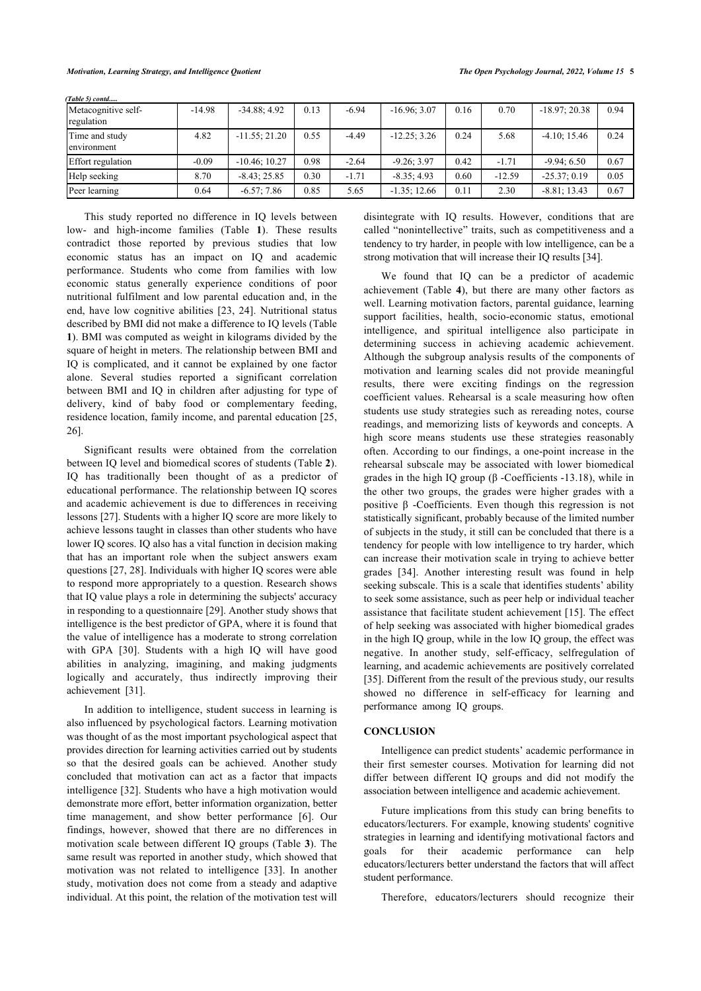*(Table 5) contd.....*

| Metacognitive self-<br>regulation | $-14.98$ | $-34.88; 4.92$  | 0.13 | $-6.94$ | $-16.96; 3.07$ | 0.16 | 0.70     | $-18.97; 20.38$ | 0.94 |
|-----------------------------------|----------|-----------------|------|---------|----------------|------|----------|-----------------|------|
| Time and study<br>environment     | 4.82     | $-11.55; 21.20$ | 0.55 | $-4.49$ | $-12.25:3.26$  | 0.24 | 5.68     | $-4.10; 15.46$  | 0.24 |
| <b>Effort</b> regulation          | $-0.09$  | $-10.46:10.27$  | 0.98 | $-2.64$ | $-9.26:3.97$   | 0.42 | $-1.71$  | $-9.94:6.50$    | 0.67 |
| Help seeking                      | 8.70     | $-8.43:25.85$   | 0.30 | $-1.71$ | $-8.35:4.93$   | 0.60 | $-12.59$ | $-25.37; 0.19$  | 0.05 |
| Peer learning                     | 0.64     | $-6.57; 7.86$   | 0.85 | 5.65    | $-1.35:12.66$  | 0.11 | 2.30     | $-8.81:13.43$   | 0.67 |

This study reported no difference in IQ levels between low- and high-income families (Table**1**). These results contradict those reported by previous studies that low economic status has an impact on IQ and academic performance. Students who come from families with low economic status generally experience conditions of poor nutritional fulfilment and low parental education and, in the end, have low cognitive abilities[[23](#page-5-22), [24](#page-5-23)]. Nutritional status described by BMI did not make a difference to IQ levels (Table **[1](#page-2-0)**). BMI was computed as weight in kilograms divided by the square of height in meters. The relationship between BMI and IQ is complicated, and it cannot be explained by one factor alone. Several studies reported a significant correlation between BMI and IQ in children after adjusting for type of delivery, kind of baby food or complementary feeding, residence location, family income, and parental education [[25](#page-5-24), [26\]](#page-6-0).

Significant results were obtained from the correlation between IQ level and biomedical scores of students (Table **[2](#page-3-0)**). IQ has traditionally been thought of as a predictor of educational performance. The relationship between IQ scores and academic achievement is due to differences in receiving lessons [\[27](#page-6-1)]. Students with a higher IQ score are more likely to achieve lessons taught in classes than other students who have lower IQ scores. IQ also has a vital function in decision making that has an important role when the subject answers exam questions [\[27](#page-6-1), [28](#page-6-2)]. Individuals with higher IQ scores were able to respond more appropriately to a question. Research shows that IQ value plays a role in determining the subjects' accuracy in responding to a questionnaire [[29\]](#page-6-3). Another study shows that intelligence is the best predictor of GPA, where it is found that the value of intelligence has a moderate to strong correlation with GPA [\[30](#page-6-4)]. Students with a high IQ will have good abilities in analyzing, imagining, and making judgments logically and accurately, thus indirectly improving their achievement [\[31](#page-6-5)].

In addition to intelligence, student success in learning is also influenced by psychological factors. Learning motivation was thought of as the most important psychological aspect that provides direction for learning activities carried out by students so that the desired goals can be achieved. Another study concluded that motivation can act as a factor that impacts intelligence [\[32\]](#page-6-6). Students who have a high motivation would demonstrate more effort, better information organization, better time management, and show better performance[[6](#page-5-5)]. Our findings, however, showed that there are no differences in motivation scale between different IQ groups (Table **[3](#page-3-1)**). The same result was reported in another study, which showed that motivation was not related to intelligence[[33\]](#page-6-2). In another study, motivation does not come from a steady and adaptive individual. At this point, the relation of the motivation test will

disintegrate with IQ results. However, conditions that are called "nonintellective" traits, such as competitiveness and a tendency to try harder, in people with low intelligence, can be a strong motivation that will increase their IQ results [[34\]](#page-6-7).

We found that IQ can be a predictor of academic achievement (Table**4**), but there are many other factors as well. Learning motivation factors, parental guidance, learning support facilities, health, socio-economic status, emotional intelligence, and spiritual intelligence also participate in determining success in achieving academic achievement. Although the subgroup analysis results of the components of motivation and learning scales did not provide meaningful results, there were exciting findings on the regression coefficient values. Rehearsal is a scale measuring how often students use study strategies such as rereading notes, course readings, and memorizing lists of keywords and concepts. A high score means students use these strategies reasonably often. According to our findings, a one-point increase in the rehearsal subscale may be associated with lower biomedical grades in the high IQ group (β -Coefficients -13.18), while in the other two groups, the grades were higher grades with a positive β -Coefficients. Even though this regression is not statistically significant, probably because of the limited number of subjects in the study, it still can be concluded that there is a tendency for people with low intelligence to try harder, which can increase their motivation scale in trying to achieve better grades[[34](#page-6-7)]. Another interesting result was found in help seeking subscale. This is a scale that identifies students' ability to seek some assistance, such as peer help or individual teacher assistance that facilitate student achievement [[15](#page-5-14)]. The effect of help seeking was associated with higher biomedical grades in the high IQ group, while in the low IQ group, the effect was negative. In another study, self-efficacy, selfregulation of learning, and academic achievements are positively correlated [[35](#page-6-4)]. Different from the result of the previous study, our results showed no difference in self-efficacy for learning and performance among IQ groups.

### **CONCLUSION**

Intelligence can predict students' academic performance in their first semester courses. Motivation for learning did not differ between different IQ groups and did not modify the association between intelligence and academic achievement.

Future implications from this study can bring benefits to educators/lecturers. For example, knowing students' cognitive strategies in learning and identifying motivational factors and goals for their academic performance can help educators/lecturers better understand the factors that will affect student performance.

Therefore, educators/lecturers should recognize their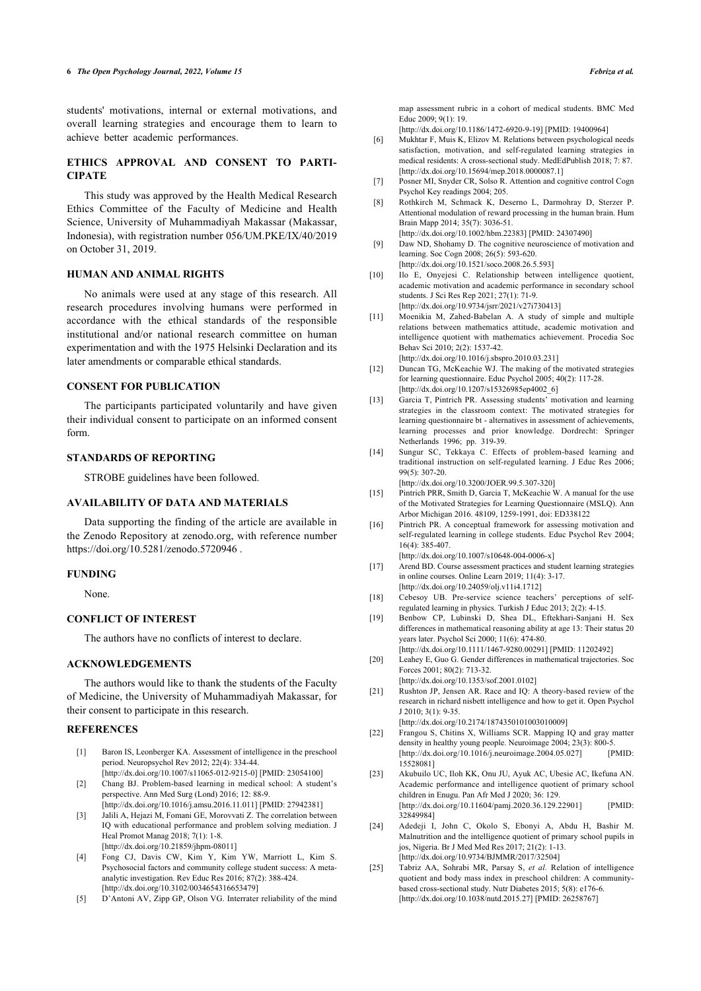students' motivations, internal or external motivations, and overall learning strategies and encourage them to learn to achieve better academic performances.

# <span id="page-5-5"></span>**ETHICS APPROVAL AND CONSENT TO PARTI-CIPATE**

<span id="page-5-7"></span><span id="page-5-6"></span>This study was approved by the Health Medical Research Ethics Committee of the Faculty of Medicine and Health Science, University of Muhammadiyah Makassar (Makassar, Indonesia), with registration number 056/UM.PKE/IX/40/2019 on October 31, 2019.

### <span id="page-5-9"></span><span id="page-5-8"></span>**HUMAN AND ANIMAL RIGHTS**

<span id="page-5-10"></span>No animals were used at any stage of this research. All research procedures involving humans were performed in accordance with the ethical standards of the responsible institutional and/or national research committee on human experimentation and with the 1975 Helsinki Declaration and its later amendments or comparable ethical standards.

### <span id="page-5-11"></span>**CONSENT FOR PUBLICATION**

<span id="page-5-12"></span>The participants participated voluntarily and have given their individual consent to participate on an informed consent form.

### <span id="page-5-13"></span>**STANDARDS OF REPORTING**

STROBE guidelines have been followed.

### <span id="page-5-14"></span>**AVAILABILITY OF DATA AND MATERIALS**

<span id="page-5-15"></span>Data supporting the finding of the article are available in the Zenodo Repository at zenodo.org, with reference number <https://doi.org/10.5281/zenodo.5720946> .

#### <span id="page-5-16"></span>**FUNDING**

None.

### <span id="page-5-18"></span><span id="page-5-17"></span>**CONFLICT OF INTEREST**

The authors have no conflicts of interest to declare.

### <span id="page-5-19"></span>**ACKNOWLEDGEMENTS**

<span id="page-5-20"></span>The authors would like to thank the students of the Faculty of Medicine, the University of Muhammadiyah Makassar, for their consent to participate in this research.

### <span id="page-5-21"></span><span id="page-5-0"></span>**REFERENCES**

- [1] Baron IS, Leonberger KA. Assessment of intelligence in the preschool period. Neuropsychol Rev 2012; 22(4): 334-44. [\[http://dx.doi.org/10.1007/s11065-012-9215-0](http://dx.doi.org/10.1007/s11065-012-9215-0)] [PMID: [23054100\]](http://www.ncbi.nlm.nih.gov/pubmed/23054100)
- <span id="page-5-22"></span><span id="page-5-1"></span>[2] Chang BJ. Problem-based learning in medical school: A student's perspective. Ann Med Surg (Lond) 2016; 12: 88-9.
- <span id="page-5-23"></span><span id="page-5-2"></span>[\[http://dx.doi.org/10.1016/j.amsu.2016.11.011](http://dx.doi.org/10.1016/j.amsu.2016.11.011)] [PMID: [27942381](http://www.ncbi.nlm.nih.gov/pubmed/27942381)] [3] Jalili A, Hejazi M, Fomani GE, Morovvati Z. The correlation between IQ with educational performance and problem solving mediation. J Heal Promot Manag 2018; 7(1): 1-8. [\[http://dx.doi.org/10.21859/jhpm-08011\]](http://dx.doi.org/10.21859/jhpm-08011)
- <span id="page-5-24"></span><span id="page-5-3"></span>[4] Fong CJ, Davis CW, Kim Y, Kim YW, Marriott L, Kim S. Psychosocial factors and community college student success: A metaanalytic investigation. Rev Educ Res 2016; 87(2): 388-424. [\[http://dx.doi.org/10.3102/0034654316653479](http://dx.doi.org/10.3102/0034654316653479)]
- <span id="page-5-4"></span>[5] D'Antoni AV, Zipp GP, Olson VG. Interrater reliability of the mind

map assessment rubric in a cohort of medical students. BMC Med Educ 2009; 9(1): 19.

[\[http://dx.doi.org/10.1186/1472-6920-9-19\]](http://dx.doi.org/10.1186/1472-6920-9-19) [PMID: [19400964\]](http://www.ncbi.nlm.nih.gov/pubmed/19400964)

- [6] Mukhtar F, Muis K, Elizov M. Relations between psychological needs satisfaction, motivation, and self-regulated learning strategies in medical residents: A cross-sectional study. MedEdPublish 2018; 7: 87. [\[http://dx.doi.org/10.15694/mep.2018.0000087.1](http://dx.doi.org/10.15694/mep.2018.0000087.1)]
- [7] Posner MI, Snyder CR, Solso R. Attention and cognitive control Cogn Psychol Key readings 2004; 205.
- [8] Rothkirch M, Schmack K, Deserno L, Darmohray D, Sterzer P. Attentional modulation of reward processing in the human brain. Hum Brain Mapp 2014; 35(7): 3036-51. [\[http://dx.doi.org/10.1002/hbm.22383](http://dx.doi.org/10.1002/hbm.22383)] [PMID: [24307490\]](http://www.ncbi.nlm.nih.gov/pubmed/24307490)
- [9] Daw ND, Shohamy D. The cognitive neuroscience of motivation and learning. Soc Cogn 2008; 26(5): 593-620.
- [\[http://dx.doi.org/10.1521/soco.2008.26.5.593](http://dx.doi.org/10.1521/soco.2008.26.5.593)]
- [10] Ilo E, Onyejesi C. Relationship between intelligence quotient, academic motivation and academic performance in secondary school students. J Sci Res Rep 2021; 27(1): 71-9. [\[http://dx.doi.org/10.9734/jsrr/2021/v27i730413](http://dx.doi.org/10.9734/jsrr/2021/v27i730413)]
- [11] Moenikia M, Zahed-Babelan A. A study of simple and multiple relations between mathematics attitude, academic motivation and intelligence quotient with mathematics achievement. Procedia Soc Behav Sci 2010; 2(2): 1537-42. [\[http://dx.doi.org/10.1016/j.sbspro.2010.03.231](http://dx.doi.org/10.1016/j.sbspro.2010.03.231)]
- [12] Duncan TG, McKeachie WJ. The making of the motivated strategies for learning questionnaire. Educ Psychol 2005; 40(2): 117-28. [\[http://dx.doi.org/10.1207/s15326985ep4002\\_6\]](http://dx.doi.org/10.1207/s15326985ep4002_6)
- [13] Garcia T, Pintrich PR. Assessing students' motivation and learning strategies in the classroom context: The motivated strategies for learning questionnaire bt - alternatives in assessment of achievements, learning processes and prior knowledge. Dordrecht: Springer Netherlands 1996; pp. 319-39.
- [14] Sungur SC, Tekkaya C. Effects of problem-based learning and traditional instruction on self-regulated learning. J Educ Res 2006; 99(5): 307-20. [\[http://dx.doi.org/10.3200/JOER.99.5.307-320](http://dx.doi.org/10.3200/JOER.99.5.307-320)]
	-
- [15] Pintrich PRR, Smith D, Garcia T, McKeachie W. A manual for the use of the Motivated Strategies for Learning Questionnaire (MSLQ). Ann Arbor Michigan 2016. 48109, 1259-1991, doi: ED338122
- [16] Pintrich PR. A conceptual framework for assessing motivation and self-regulated learning in college students. Educ Psychol Rev 2004; 16(4): 385-407.

[\[http://dx.doi.org/10.1007/s10648-004-0006-x\]](http://dx.doi.org/10.1007/s10648-004-0006-x)

- [17] Arend BD. Course assessment practices and student learning strategies in online courses. Online Learn 2019; 11(4): 3-17. [\[http://dx.doi.org/10.24059/olj.v11i4.1712\]](http://dx.doi.org/10.24059/olj.v11i4.1712)
- [18] Cebesoy UB. Pre-service science teachers' perceptions of selfregulated learning in physics. Turkish J Educ 2013; 2(2): 4-15.
- [19] Benbow CP, Lubinski D, Shea DL, Eftekhari-Sanjani H. Sex differences in mathematical reasoning ability at age 13: Their status 20 years later. Psychol Sci 2000; 11(6): 474-80. [\[http://dx.doi.org/10.1111/1467-9280.00291](http://dx.doi.org/10.1111/1467-9280.00291)] [PMID: [11202492\]](http://www.ncbi.nlm.nih.gov/pubmed/11202492)
- [20] Leahey E, Guo G. Gender differences in mathematical trajectories. Soc Forces 2001; 80(2): 713-32.
- [\[http://dx.doi.org/10.1353/sof.2001.0102\]](http://dx.doi.org/10.1353/sof.2001.0102) [21] Rushton JP, Jensen AR. Race and IQ: A theory-based review of the research in richard nisbett intelligence and how to get it. Open Psychol J 2010; 3(1): 9-35.

[\[http://dx.doi.org/10.2174/1874350101003010009\]](http://dx.doi.org/10.2174/1874350101003010009)

- [22] Frangou S, Chitins X, Williams SCR. Mapping IQ and gray matter density in healthy young people. Neuroimage 2004; 23(3): 800-5. [\[http://dx.doi.org/10.1016/j.neuroimage.2004.05.027](http://dx.doi.org/10.1016/j.neuroimage.2004.05.027)] [PMID: [15528081\]](http://www.ncbi.nlm.nih.gov/pubmed/15528081)
- [23] Akubuilo UC, Iloh KK, Onu JU, Ayuk AC, Ubesie AC, Ikefuna AN. Academic performance and intelligence quotient of primary school children in Enugu. Pan Afr Med J 2020; 36: 129. [\[http://dx.doi.org/10.11604/pamj.2020.36.129.22901\]](http://dx.doi.org/10.11604/pamj.2020.36.129.22901) [PMID: [32849984\]](http://www.ncbi.nlm.nih.gov/pubmed/32849984)
- [24] Adedeji I, John C, Okolo S, Ebonyi A, Abdu H, Bashir M. Malnutrition and the intelligence quotient of primary school pupils in jos, Nigeria. Br J Med Med Res 2017; 21(2): 1-13. [\[http://dx.doi.org/10.9734/BJMMR/2017/32504](http://dx.doi.org/10.9734/BJMMR/2017/32504)]
- [25] Tabriz AA, Sohrabi MR, Parsay S, *et al.* Relation of intelligence quotient and body mass index in preschool children: A communitybased cross-sectional study. Nutr Diabetes 2015; 5(8): e176-6. [\[http://dx.doi.org/10.1038/nutd.2015.27](http://dx.doi.org/10.1038/nutd.2015.27)] [PMID: [26258767](http://www.ncbi.nlm.nih.gov/pubmed/26258767)]